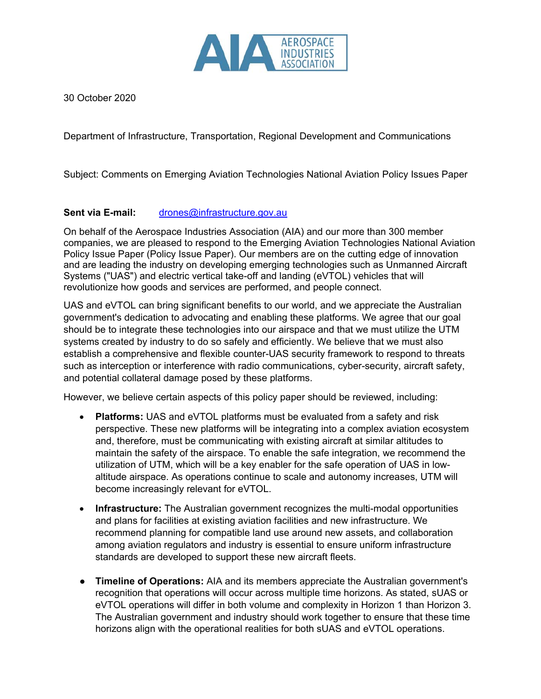

30 October 2020

Department of Infrastructure, Transportation, Regional Development and Communications

Subject: Comments on Emerging Aviation Technologies National Aviation Policy Issues Paper

## **Sent via E-mail:** drones@infrastructure.gov.au

On behalf of the Aerospace Industries Association (AIA) and our more than 300 member companies, we are pleased to respond to the Emerging Aviation Technologies National Aviation Policy Issue Paper (Policy Issue Paper). Our members are on the cutting edge of innovation and are leading the industry on developing emerging technologies such as Unmanned Aircraft Systems ("UAS") and electric vertical take-off and landing (eVTOL) vehicles that will revolutionize how goods and services are performed, and people connect.

UAS and eVTOL can bring significant benefits to our world, and we appreciate the Australian government's dedication to advocating and enabling these platforms. We agree that our goal should be to integrate these technologies into our airspace and that we must utilize the UTM systems created by industry to do so safely and efficiently. We believe that we must also establish a comprehensive and flexible counter-UAS security framework to respond to threats such as interception or interference with radio communications, cyber-security, aircraft safety, and potential collateral damage posed by these platforms.

However, we believe certain aspects of this policy paper should be reviewed, including:

- **Platforms:** UAS and eVTOL platforms must be evaluated from a safety and risk perspective. These new platforms will be integrating into a complex aviation ecosystem and, therefore, must be communicating with existing aircraft at similar altitudes to maintain the safety of the airspace. To enable the safe integration, we recommend the utilization of UTM, which will be a key enabler for the safe operation of UAS in lowaltitude airspace. As operations continue to scale and autonomy increases, UTM will become increasingly relevant for eVTOL.
- **Infrastructure:** The Australian government recognizes the multi-modal opportunities and plans for facilities at existing aviation facilities and new infrastructure. We recommend planning for compatible land use around new assets, and collaboration among aviation regulators and industry is essential to ensure uniform infrastructure standards are developed to support these new aircraft fleets.
- **Timeline of Operations:** AIA and its members appreciate the Australian government's recognition that operations will occur across multiple time horizons. As stated, sUAS or eVTOL operations will differ in both volume and complexity in Horizon 1 than Horizon 3. The Australian government and industry should work together to ensure that these time horizons align with the operational realities for both sUAS and eVTOL operations.